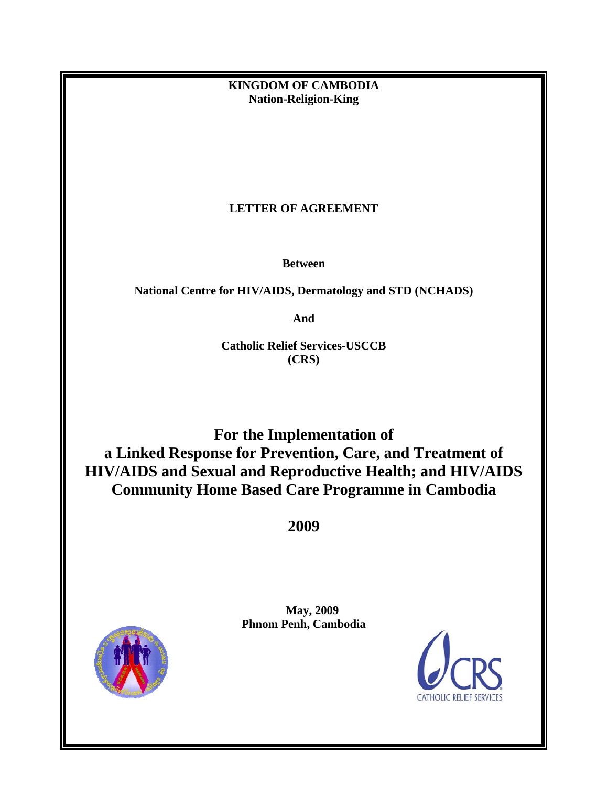**KINGDOM OF CAMBODIA Nation-Religion-King** 

# **LETTER OF AGREEMENT**

**Between** 

**National Centre for HIV/AIDS, Dermatology and STD (NCHADS)**

**And** 

**Catholic Relief Services-USCCB (CRS)** 

**For the Implementation of a Linked Response for Prevention, Care, and Treatment of HIV/AIDS and Sexual and Reproductive Health; and HIV/AIDS Community Home Based Care Programme in Cambodia** 

**2009** 



 **May, 2009 Phnom Penh, Cambodia** 

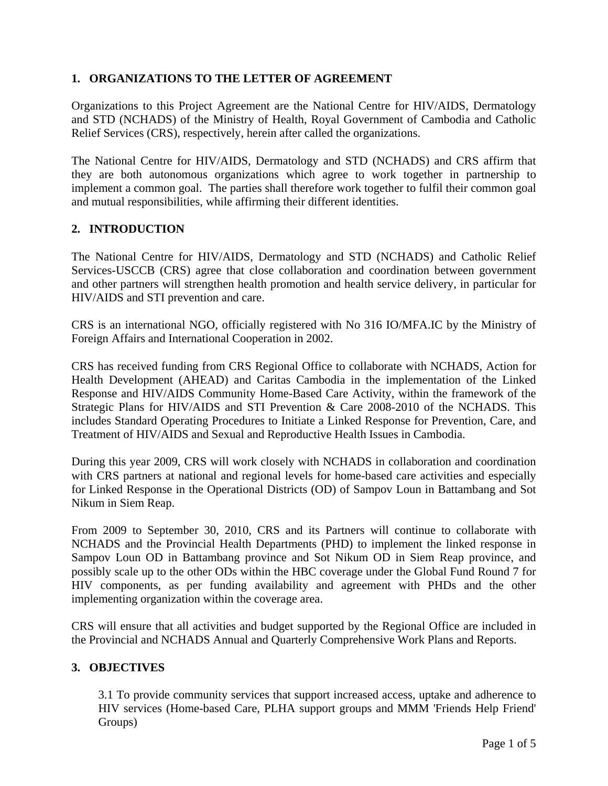# **1. ORGANIZATIONS TO THE LETTER OF AGREEMENT**

Organizations to this Project Agreement are the National Centre for HIV/AIDS, Dermatology and STD (NCHADS) of the Ministry of Health, Royal Government of Cambodia and Catholic Relief Services (CRS), respectively, herein after called the organizations.

The National Centre for HIV/AIDS, Dermatology and STD (NCHADS) and CRS affirm that they are both autonomous organizations which agree to work together in partnership to implement a common goal. The parties shall therefore work together to fulfil their common goal and mutual responsibilities, while affirming their different identities.

# **2. INTRODUCTION**

The National Centre for HIV/AIDS, Dermatology and STD (NCHADS) and Catholic Relief Services-USCCB (CRS) agree that close collaboration and coordination between government and other partners will strengthen health promotion and health service delivery, in particular for HIV/AIDS and STI prevention and care.

CRS is an international NGO, officially registered with No 316 IO/MFA.IC by the Ministry of Foreign Affairs and International Cooperation in 2002.

CRS has received funding from CRS Regional Office to collaborate with NCHADS, Action for Health Development (AHEAD) and Caritas Cambodia in the implementation of the Linked Response and HIV/AIDS Community Home-Based Care Activity, within the framework of the Strategic Plans for HIV/AIDS and STI Prevention & Care 2008-2010 of the NCHADS. This includes Standard Operating Procedures to Initiate a Linked Response for Prevention, Care, and Treatment of HIV/AIDS and Sexual and Reproductive Health Issues in Cambodia.

During this year 2009, CRS will work closely with NCHADS in collaboration and coordination with CRS partners at national and regional levels for home-based care activities and especially for Linked Response in the Operational Districts (OD) of Sampov Loun in Battambang and Sot Nikum in Siem Reap.

From 2009 to September 30, 2010, CRS and its Partners will continue to collaborate with NCHADS and the Provincial Health Departments (PHD) to implement the linked response in Sampov Loun OD in Battambang province and Sot Nikum OD in Siem Reap province, and possibly scale up to the other ODs within the HBC coverage under the Global Fund Round 7 for HIV components, as per funding availability and agreement with PHDs and the other implementing organization within the coverage area.

CRS will ensure that all activities and budget supported by the Regional Office are included in the Provincial and NCHADS Annual and Quarterly Comprehensive Work Plans and Reports.

## **3. OBJECTIVES**

3.1 To provide community services that support increased access, uptake and adherence to HIV services (Home-based Care, PLHA support groups and MMM 'Friends Help Friend' Groups)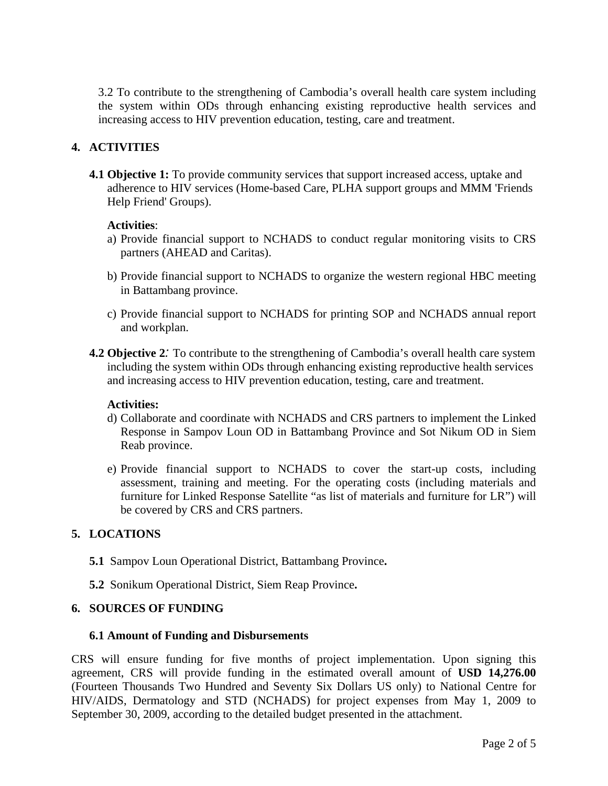3.2 To contribute to the strengthening of Cambodia's overall health care system including the system within ODs through enhancing existing reproductive health services and increasing access to HIV prevention education, testing, care and treatment.

# **4. ACTIVITIES**

**4.1 Objective 1:** To provide community services that support increased access, uptake and adherence to HIV services (Home-based Care, PLHA support groups and MMM 'Friends Help Friend' Groups).

## **Activities**:

- a) Provide financial support to NCHADS to conduct regular monitoring visits to CRS partners (AHEAD and Caritas).
- b) Provide financial support to NCHADS to organize the western regional HBC meeting in Battambang province.
- c) Provide financial support to NCHADS for printing SOP and NCHADS annual report and workplan.
- **4.2 Objective 2***:* To contribute to the strengthening of Cambodia's overall health care system including the system within ODs through enhancing existing reproductive health services and increasing access to HIV prevention education, testing, care and treatment.

## **Activities:**

- d) Collaborate and coordinate with NCHADS and CRS partners to implement the Linked Response in Sampov Loun OD in Battambang Province and Sot Nikum OD in Siem Reab province.
- e) Provide financial support to NCHADS to cover the start-up costs, including assessment, training and meeting. For the operating costs (including materials and furniture for Linked Response Satellite "as list of materials and furniture for LR") will be covered by CRS and CRS partners.

## **5. LOCATIONS**

- **5.1** Sampov Loun Operational District, Battambang Province**.**
- **5.2** Sonikum Operational District, Siem Reap Province**.**

## **6. SOURCES OF FUNDING**

#### **6.1 Amount of Funding and Disbursements**

CRS will ensure funding for five months of project implementation. Upon signing this agreement, CRS will provide funding in the estimated overall amount of **USD 14,276.00**  (Fourteen Thousands Two Hundred and Seventy Six Dollars US only) to National Centre for HIV/AIDS, Dermatology and STD (NCHADS) for project expenses from May 1, 2009 to September 30, 2009, according to the detailed budget presented in the attachment.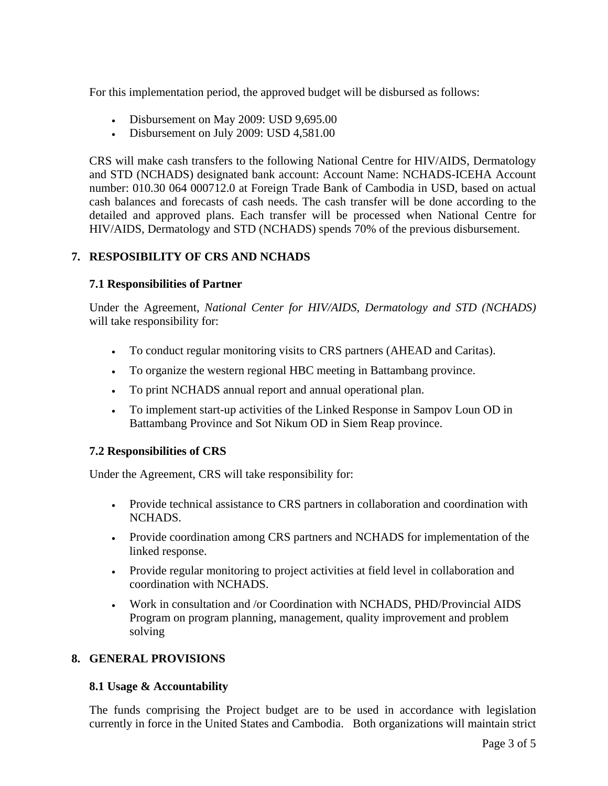For this implementation period, the approved budget will be disbursed as follows:

- Disbursement on May 2009: USD 9,695.00
- Disbursement on July 2009: USD 4,581.00

CRS will make cash transfers to the following National Centre for HIV/AIDS, Dermatology and STD (NCHADS) designated bank account: Account Name: NCHADS-ICEHA Account number: 010.30 064 000712.0 at Foreign Trade Bank of Cambodia in USD, based on actual cash balances and forecasts of cash needs. The cash transfer will be done according to the detailed and approved plans. Each transfer will be processed when National Centre for HIV/AIDS, Dermatology and STD (NCHADS) spends 70% of the previous disbursement.

# **7. RESPOSIBILITY OF CRS AND NCHADS**

## **7.1 Responsibilities of Partner**

Under the Agreement, *National Center for HIV/AIDS, Dermatology and STD (NCHADS)* will take responsibility for:

- To conduct regular monitoring visits to CRS partners (AHEAD and Caritas).
- To organize the western regional HBC meeting in Battambang province.
- To print NCHADS annual report and annual operational plan.
- To implement start-up activities of the Linked Response in Sampov Loun OD in Battambang Province and Sot Nikum OD in Siem Reap province.

# **7.2 Responsibilities of CRS**

Under the Agreement, CRS will take responsibility for:

- Provide technical assistance to CRS partners in collaboration and coordination with NCHADS.
- Provide coordination among CRS partners and NCHADS for implementation of the linked response.
- Provide regular monitoring to project activities at field level in collaboration and coordination with NCHADS.
- Work in consultation and /or Coordination with NCHADS, PHD/Provincial AIDS Program on program planning, management, quality improvement and problem solving

## **8. GENERAL PROVISIONS**

## **8.1 Usage & Accountability**

The funds comprising the Project budget are to be used in accordance with legislation currently in force in the United States and Cambodia. Both organizations will maintain strict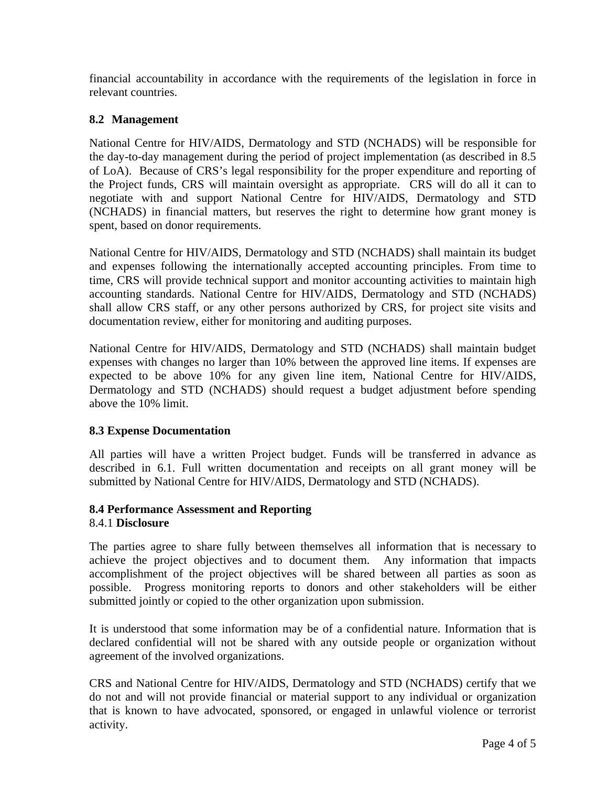financial accountability in accordance with the requirements of the legislation in force in relevant countries.

# **8.2 Management**

National Centre for HIV/AIDS, Dermatology and STD (NCHADS) will be responsible for the day-to-day management during the period of project implementation (as described in 8.5 of LoA). Because of CRS's legal responsibility for the proper expenditure and reporting of the Project funds, CRS will maintain oversight as appropriate. CRS will do all it can to negotiate with and support National Centre for HIV/AIDS, Dermatology and STD (NCHADS) in financial matters, but reserves the right to determine how grant money is spent, based on donor requirements.

National Centre for HIV/AIDS, Dermatology and STD (NCHADS) shall maintain its budget and expenses following the internationally accepted accounting principles. From time to time, CRS will provide technical support and monitor accounting activities to maintain high accounting standards. National Centre for HIV/AIDS, Dermatology and STD (NCHADS) shall allow CRS staff, or any other persons authorized by CRS, for project site visits and documentation review, either for monitoring and auditing purposes.

National Centre for HIV/AIDS, Dermatology and STD (NCHADS) shall maintain budget expenses with changes no larger than 10% between the approved line items. If expenses are expected to be above 10% for any given line item, National Centre for HIV/AIDS, Dermatology and STD (NCHADS) should request a budget adjustment before spending above the 10% limit.

# **8.3 Expense Documentation**

All parties will have a written Project budget. Funds will be transferred in advance as described in 6.1. Full written documentation and receipts on all grant money will be submitted by National Centre for HIV/AIDS, Dermatology and STD (NCHADS).

#### **8.4 Performance Assessment and Reporting**  8.4.1 **Disclosure**

The parties agree to share fully between themselves all information that is necessary to achieve the project objectives and to document them. Any information that impacts accomplishment of the project objectives will be shared between all parties as soon as possible. Progress monitoring reports to donors and other stakeholders will be either submitted jointly or copied to the other organization upon submission.

It is understood that some information may be of a confidential nature. Information that is declared confidential will not be shared with any outside people or organization without agreement of the involved organizations.

CRS and National Centre for HIV/AIDS, Dermatology and STD (NCHADS) certify that we do not and will not provide financial or material support to any individual or organization that is known to have advocated, sponsored, or engaged in unlawful violence or terrorist activity.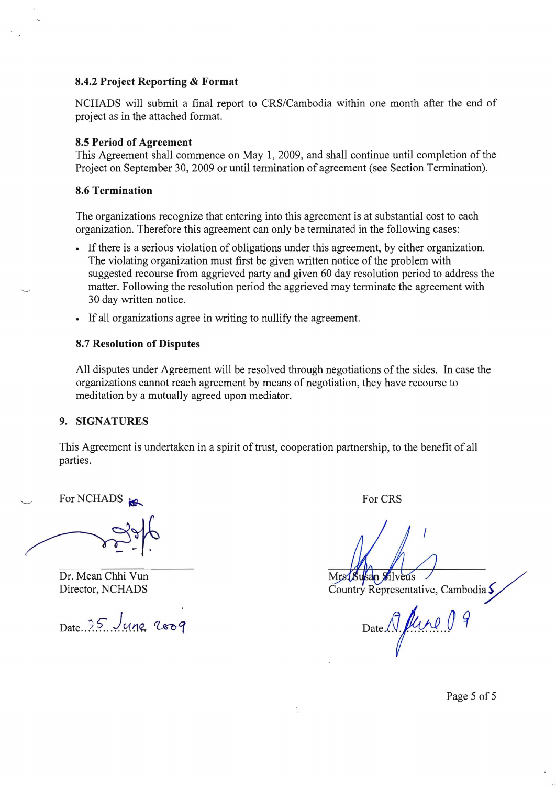#### **8.4.2 Project Reporting & Format**

NCHADS will submit a final report to CRS/Cambodia within one month after the end of project as in the attached format.

#### **8.5 Period of Agreement**

This Agreement shall commence on May 1,2009, and shall continue until completion of the Project on September 30, 2009 or until termination of agreement (see Section Termination).

#### **8.6 Termination**

The organizations recognize that entering into this agreement is at substantial cost to each organization. Therefore this agreement can only be terminated in the following cases:

- If there is a serious violation of obligations under this agreement, by either organization. The violating organization must first be given written notice of the problem with suggested recourse from aggrieved party and given 60 day resolution period to address the matter. Following the resolution period the aggrieved may terminate the agreement with 30 day written notice.
- • If all organizations agree in writing to nullify the agreement.

#### **8.7 Resolution of Disputes**

All disputes under Agreement will be resolved through negotiations of the sides. In case the organizations cannot reach agreement by means of negotiation, they have recourse to meditation by a mutually agreed upon mediator.

#### **9. SIGNATURES**

This Agreement is undertaken in a spirit of trust, cooperation partnership, to the benefit of all parties.

For NCHADS in Formulation of Formulation of Formulation of Formulation of  $\overline{C}$ 

Dr. Mean Chhi Vun<br>Director, NCHADS Country Representation

Country Representative, Cambodia  $\zeta$ 

 $_{\text{Date}}$ . ?5  $_{\text{U}}$ <sub>192</sub>  $_{\text{200}}$   $_{\text{211}}$   $_{\text{Date}}$   $\text{Mpc}$   $\theta$ 

Page 5 of 5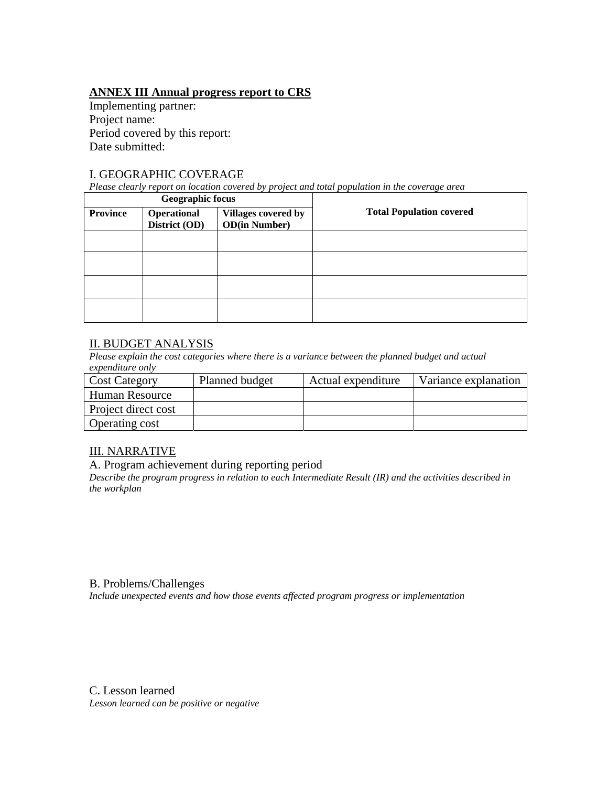# **ANNEX III Annual progress report to CRS**

Implementing partner: Project name: Period covered by this report: Date submitted:

## I. GEOGRAPHIC COVERAGE

*Please clearly report on location covered by project and total population in the coverage area* 

|                 | <b>Geographic focus</b>      |                                                     |                                 |
|-----------------|------------------------------|-----------------------------------------------------|---------------------------------|
| <b>Province</b> | Operational<br>District (OD) | <b>Villages covered by</b><br><b>OD</b> (in Number) | <b>Total Population covered</b> |
|                 |                              |                                                     |                                 |
|                 |                              |                                                     |                                 |
|                 |                              |                                                     |                                 |
|                 |                              |                                                     |                                 |

# II. BUDGET ANALYSIS

*Please explain the cost categories where there is a variance between the planned budget and actual expenditure only* 

| <b>Cost Category</b>  | Planned budget | Actual expenditure | Variance explanation |
|-----------------------|----------------|--------------------|----------------------|
| Human Resource        |                |                    |                      |
| Project direct cost   |                |                    |                      |
| <b>Operating cost</b> |                |                    |                      |

# III. NARRATIVE

## A. Program achievement during reporting period

*Describe the program progress in relation to each Intermediate Result (IR) and the activities described in the workplan*

## B. Problems/Challenges

*Include unexpected events and how those events affected program progress or implementation* 

C. Lesson learned *Lesson learned can be positive or negative*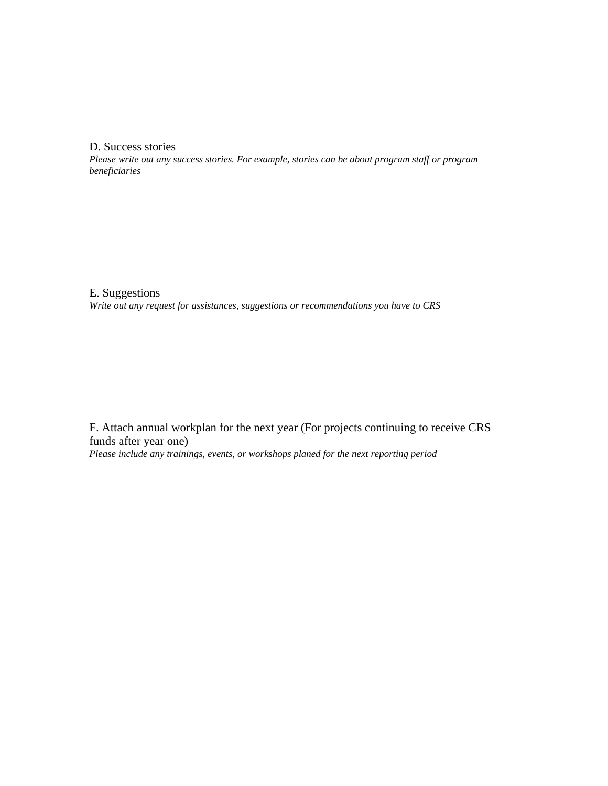D. Success stories

*Please write out any success stories. For example, stories can be about program staff or program beneficiaries* 

E. Suggestions *Write out any request for assistances, suggestions or recommendations you have to CRS* 

F. Attach annual workplan for the next year (For projects continuing to receive CRS funds after year one)

*Please include any trainings, events, or workshops planed for the next reporting period*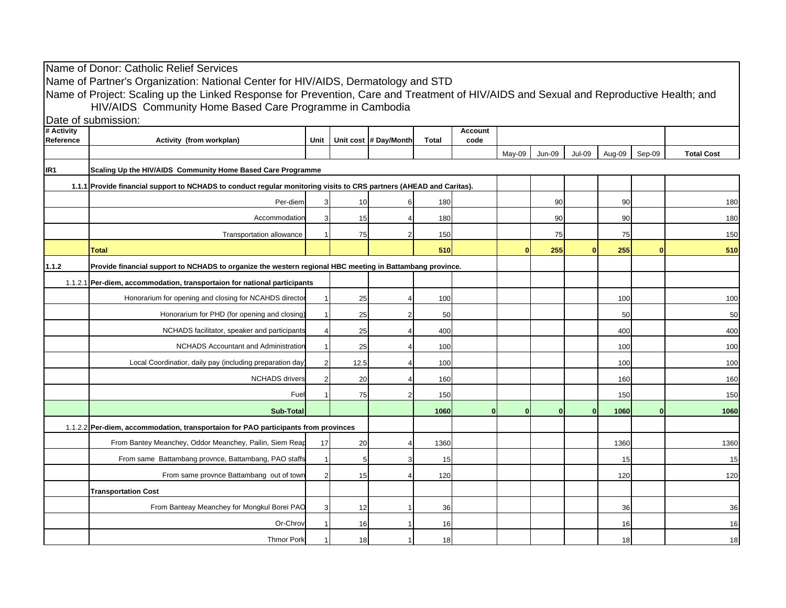|                                                                                                                     | Name of Donor: Catholic Relief Services                                                                                                |      |                |                       |              |                |          |               |               |        |              |                   |
|---------------------------------------------------------------------------------------------------------------------|----------------------------------------------------------------------------------------------------------------------------------------|------|----------------|-----------------------|--------------|----------------|----------|---------------|---------------|--------|--------------|-------------------|
|                                                                                                                     | Name of Partner's Organization: National Center for HIV/AIDS, Dermatology and STD                                                      |      |                |                       |              |                |          |               |               |        |              |                   |
|                                                                                                                     | Name of Project: Scaling up the Linked Response for Prevention, Care and Treatment of HIV/AIDS and Sexual and Reproductive Health; and |      |                |                       |              |                |          |               |               |        |              |                   |
|                                                                                                                     | HIV/AIDS Community Home Based Care Programme in Cambodia                                                                               |      |                |                       |              |                |          |               |               |        |              |                   |
| # Activity                                                                                                          | Date of submission:                                                                                                                    |      |                |                       |              | <b>Account</b> |          |               |               |        |              |                   |
| Reference                                                                                                           | Activity (from workplan)                                                                                                               | Unit |                | Unit cost # Day/Month | <b>Total</b> | code           |          |               |               |        |              |                   |
|                                                                                                                     |                                                                                                                                        |      |                |                       |              |                | May-09   | <b>Jun-09</b> | <b>Jul-09</b> | Aug-09 | Sep-09       | <b>Total Cost</b> |
| IR <sub>1</sub>                                                                                                     | Scaling Up the HIV/AIDS Community Home Based Care Programme                                                                            |      |                |                       |              |                |          |               |               |        |              |                   |
| 1.1.1 Provide financial support to NCHADS to conduct regular monitoring visits to CRS partners (AHEAD and Caritas). |                                                                                                                                        |      |                |                       |              |                |          |               |               |        |              |                   |
|                                                                                                                     | Per-diem                                                                                                                               |      | 10             |                       | 180          |                |          | 90            |               | 90     |              | 180               |
|                                                                                                                     | Accommodation                                                                                                                          |      | 15             |                       | 180          |                |          | 90            |               | 90     |              | 180               |
|                                                                                                                     | Transportation allowance                                                                                                               |      | 75             |                       | 150          |                |          | 75            |               | 75     |              | 150               |
|                                                                                                                     | <b>Total</b>                                                                                                                           |      |                |                       | 510          |                |          | 255           | n             | 255    | $\mathbf{0}$ | 510               |
| 1.1.2                                                                                                               | Provide financial support to NCHADS to organize the western regional HBC meeting in Battambang province.                               |      |                |                       |              |                |          |               |               |        |              |                   |
|                                                                                                                     | 1.1.2.1 Per-diem, accommodation, transportaion for national participants                                                               |      |                |                       |              |                |          |               |               |        |              |                   |
|                                                                                                                     | Honorarium for opening and closing for NCAHDS director                                                                                 |      | 25             |                       | 100          |                |          |               |               | 100    |              | 100               |
|                                                                                                                     | Honorarium for PHD (for opening and closing)                                                                                           |      | 25             |                       | 50           |                |          |               |               | 50     |              | 50                |
|                                                                                                                     | NCHADS facilitator, speaker and participants                                                                                           |      | 25             |                       | 400          |                |          |               |               | 400    |              | 400               |
|                                                                                                                     | <b>NCHADS Accountant and Administration</b>                                                                                            |      | 25             |                       | 100          |                |          |               |               | 100    |              | 100               |
|                                                                                                                     | Local Coordinatior, daily pay (including preparation day                                                                               |      | 12.5           |                       | 100          |                |          |               |               | 100    |              | 100               |
|                                                                                                                     | <b>NCHADS</b> drivers                                                                                                                  |      | 20             |                       | 160          |                |          |               |               | 160    |              | 160               |
|                                                                                                                     | Fuel                                                                                                                                   |      | 75             |                       | 150          |                |          |               |               | 150    |              | 150               |
|                                                                                                                     | <b>Sub-Total</b>                                                                                                                       |      |                |                       | 1060         | $\bf{0}$       | $\Omega$ | 0             | $\mathbf{0}$  | 1060   | $\Omega$     | 1060              |
|                                                                                                                     | 1.1.2.2 Per-diem, accommodation, transportaion for PAO participants from provinces                                                     |      |                |                       |              |                |          |               |               |        |              |                   |
|                                                                                                                     | From Bantey Meanchey, Oddor Meanchey, Pailin, Siem Reap                                                                                | 17   | 20             |                       | 1360         |                |          |               |               | 1360   |              | 1360              |
|                                                                                                                     | From same Battambang provnce, Battambang, PAO staffs                                                                                   |      | 5 <sub>5</sub> |                       | 15           |                |          |               |               | 15     |              | 15                |
|                                                                                                                     | From same provnce Battambang out of town                                                                                               |      | 15             |                       | 120          |                |          |               |               | 120    |              | 120               |
|                                                                                                                     | <b>Transportation Cost</b>                                                                                                             |      |                |                       |              |                |          |               |               |        |              |                   |
|                                                                                                                     | From Banteay Meanchey for Mongkul Borei PAO                                                                                            |      | 12             |                       | 36           |                |          |               |               | 36     |              | 36                |
|                                                                                                                     | Or-Chrov                                                                                                                               |      | 16             |                       | 16           |                |          |               |               | 16     |              | 16                |
|                                                                                                                     | <b>Thmor Pork</b>                                                                                                                      |      | 18             |                       | 18           |                |          |               |               | 18     |              | 18                |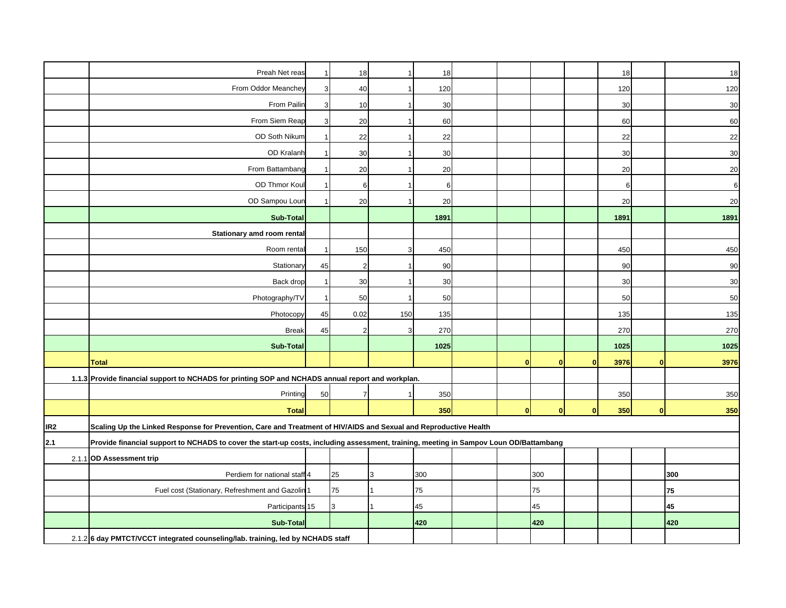|                 | Preah Net reas                                                                                                                        |    | 18             |     | 18   |          |              |              | 18   |              | 18     |
|-----------------|---------------------------------------------------------------------------------------------------------------------------------------|----|----------------|-----|------|----------|--------------|--------------|------|--------------|--------|
|                 | From Oddor Meanchey                                                                                                                   | 3  | 40             |     | 120  |          |              |              | 120  |              | 120    |
|                 | From Pailin                                                                                                                           | 3  | 10             |     | 30   |          |              |              | 30   |              | 30     |
|                 | From Siem Reap                                                                                                                        | 3  | 20             |     | 60   |          |              |              | 60   |              | 60     |
|                 | OD Soth Nikum                                                                                                                         |    | 22             |     | 22   |          |              |              | 22   |              | 22     |
|                 | OD Kralanh                                                                                                                            |    | 30             |     | 30   |          |              |              | 30   |              | 30     |
|                 | From Battambang                                                                                                                       |    | 20             |     | 20   |          |              |              | 20   |              | 20     |
|                 | OD Thmor Koul                                                                                                                         |    | 6              |     | 6    |          |              |              | 6    |              | 6      |
|                 | OD Sampou Lour                                                                                                                        |    | 20             |     | 20   |          |              |              | 20   |              | 20     |
|                 | <b>Sub-Total</b>                                                                                                                      |    |                |     | 1891 |          |              |              | 1891 |              | 1891   |
|                 | Stationary amd room rental                                                                                                            |    |                |     |      |          |              |              |      |              |        |
|                 | Room renta                                                                                                                            |    | 150            |     | 450  |          |              |              | 450  |              | 450    |
|                 | Stationary                                                                                                                            | 45 | $\overline{2}$ |     | 90   |          |              |              | 90   |              | 90     |
|                 | Back drop                                                                                                                             |    | 30             |     | 30   |          |              |              | 30   |              | $30\,$ |
|                 | Photography/TV                                                                                                                        |    | 50             |     | 50   |          |              |              | 50   |              | 50     |
|                 | Photocopy                                                                                                                             | 45 | 0.02           | 150 | 135  |          |              |              | 135  |              | 135    |
|                 | <b>Break</b>                                                                                                                          | 45 | $\overline{2}$ |     | 270  |          |              |              | 270  |              | 270    |
|                 | <b>Sub-Total</b>                                                                                                                      |    |                |     | 1025 |          |              |              | 1025 |              | 1025   |
|                 | <b>Total</b>                                                                                                                          |    |                |     |      | $\Omega$ | $\mathbf{0}$ | $\mathbf{0}$ | 3976 | $\mathbf{0}$ | 3976   |
|                 | 1.1.3 Provide financial support to NCHADS for printing SOP and NCHADS annual report and workplan.                                     |    |                |     |      |          |              |              |      |              |        |
|                 | Printing                                                                                                                              | 50 | $\overline{7}$ |     | 350  |          |              |              | 350  |              | 350    |
|                 | <b>Total</b>                                                                                                                          |    |                |     | 350  | $\Omega$ | $\mathbf{0}$ | $\mathbf{0}$ | 350  | <sub>0</sub> | 350    |
| IR <sub>2</sub> | Scaling Up the Linked Response for Prevention, Care and Treatment of HIV/AIDS and Sexual and Reproductive Health                      |    |                |     |      |          |              |              |      |              |        |
| 2.1             | Provide financial support to NCHADS to cover the start-up costs, including assessment, training, meeting in Sampov Loun OD/Battambang |    |                |     |      |          |              |              |      |              |        |
|                 | 2.1.1 OD Assessment trip                                                                                                              |    |                |     |      |          |              |              |      |              |        |
|                 | Perdiem for national staff 4                                                                                                          |    | 25             | 3   | 300  |          | 300          |              |      |              | 300    |
|                 | Fuel cost (Stationary, Refreshment and Gazolin 1                                                                                      |    | 75             |     | 75   |          | 75           |              |      |              | 75     |
|                 | Participants 15                                                                                                                       |    | 3              |     | 45   |          | 45           |              |      |              | 45     |
|                 | Sub-Total                                                                                                                             |    |                |     | 420  |          | 420          |              |      |              | 420    |
|                 | 2.1.2 6 day PMTCT/VCCT integrated counseling/lab. training, led by NCHADS staff                                                       |    |                |     |      |          |              |              |      |              |        |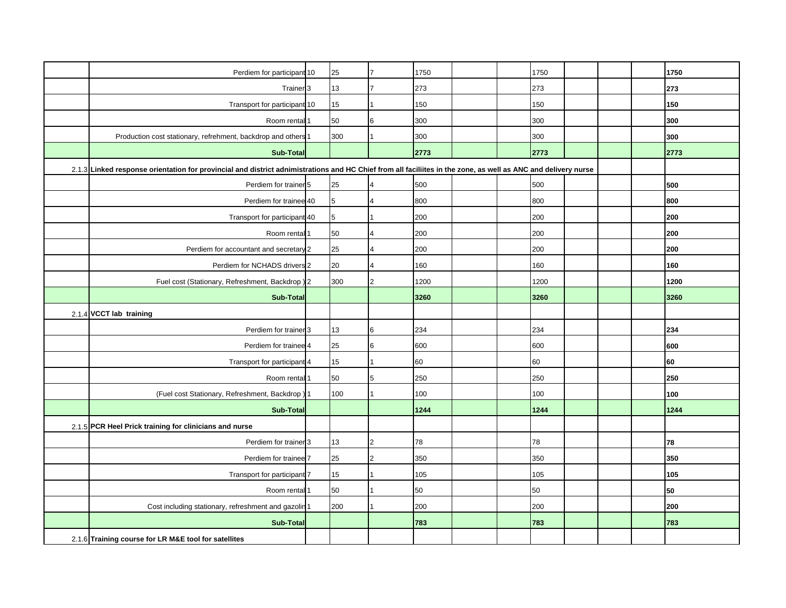|                                                                                                                                                               | Perdiem for participant 10                                  |  | 25  |                         | 1750 |  |  | 1750 |  |  | 1750 |
|---------------------------------------------------------------------------------------------------------------------------------------------------------------|-------------------------------------------------------------|--|-----|-------------------------|------|--|--|------|--|--|------|
|                                                                                                                                                               | Trainer <sub>3</sub>                                        |  | 13  |                         | 273  |  |  | 273  |  |  | 273  |
|                                                                                                                                                               | Transport for participant 10                                |  | 15  |                         | 150  |  |  | 150  |  |  | 150  |
|                                                                                                                                                               | Room rental 1                                               |  | 50  | 6                       | 300  |  |  | 300  |  |  | 300  |
|                                                                                                                                                               | Production cost stationary, refrehment, backdrop and others |  | 300 |                         | 300  |  |  | 300  |  |  | 300  |
|                                                                                                                                                               | Sub-Total                                                   |  |     |                         | 2773 |  |  | 2773 |  |  | 2773 |
| 2.1.3 Linked response orientation for provincial and district adnimistrations and HC Chief from all faciliites in the zone, as well as ANC and delivery nurse |                                                             |  |     |                         |      |  |  |      |  |  |      |
|                                                                                                                                                               | Perdiem for trainer 5                                       |  | 25  | $\overline{4}$          | 500  |  |  | 500  |  |  | 500  |
|                                                                                                                                                               | Perdiem for trainee 40                                      |  | 5   | $\overline{\mathbf{4}}$ | 800  |  |  | 800  |  |  | 800  |
|                                                                                                                                                               | Transport for participant 40                                |  | 5   |                         | 200  |  |  | 200  |  |  | 200  |
|                                                                                                                                                               | Room rental 1                                               |  | 50  | $\overline{\mathbf{4}}$ | 200  |  |  | 200  |  |  | 200  |
|                                                                                                                                                               | Perdiem for accountant and secretary 2                      |  | 25  | $\overline{\mathbf{4}}$ | 200  |  |  | 200  |  |  | 200  |
|                                                                                                                                                               | Perdiem for NCHADS drivers 2                                |  | 20  | $\overline{\mathbf{4}}$ | 160  |  |  | 160  |  |  | 160  |
|                                                                                                                                                               | Fuel cost (Stationary, Refreshment, Backdrop) 2             |  | 300 | $\overline{2}$          | 1200 |  |  | 1200 |  |  | 1200 |
|                                                                                                                                                               | <b>Sub-Total</b>                                            |  |     |                         | 3260 |  |  | 3260 |  |  | 3260 |
|                                                                                                                                                               | 2.1.4 VCCT lab training                                     |  |     |                         |      |  |  |      |  |  |      |
|                                                                                                                                                               | Perdiem for trainer 3                                       |  | 13  | 6                       | 234  |  |  | 234  |  |  | 234  |
|                                                                                                                                                               | Perdiem for trainee 4                                       |  | 25  | 6                       | 600  |  |  | 600  |  |  | 600  |
|                                                                                                                                                               | Transport for participant 4                                 |  | 15  |                         | 60   |  |  | 60   |  |  | 60   |
|                                                                                                                                                               | Room rental                                                 |  | 50  | 5                       | 250  |  |  | 250  |  |  | 250  |
|                                                                                                                                                               | (Fuel cost Stationary, Refreshment, Backdrop)               |  | 100 |                         | 100  |  |  | 100  |  |  | 100  |
|                                                                                                                                                               | <b>Sub-Total</b>                                            |  |     |                         | 1244 |  |  | 1244 |  |  | 1244 |
|                                                                                                                                                               | 2.1.5 PCR Heel Prick training for clinicians and nurse      |  |     |                         |      |  |  |      |  |  |      |
|                                                                                                                                                               | Perdiem for trainer 3                                       |  | 13  | $\mathfrak{p}$          | 78   |  |  | 78   |  |  | 78   |
|                                                                                                                                                               | Perdiem for trainee 7                                       |  | 25  | $\overline{2}$          | 350  |  |  | 350  |  |  | 350  |
|                                                                                                                                                               | Transport for participant 7                                 |  | 15  |                         | 105  |  |  | 105  |  |  | 105  |
|                                                                                                                                                               | Room rental 1                                               |  | 50  |                         | 50   |  |  | 50   |  |  | 50   |
|                                                                                                                                                               | Cost including stationary, refreshment and gazolin 1        |  | 200 |                         | 200  |  |  | 200  |  |  | 200  |
|                                                                                                                                                               | <b>Sub-Total</b>                                            |  |     |                         | 783  |  |  | 783  |  |  | 783  |
|                                                                                                                                                               | 2.1.6 Training course for LR M&E tool for satellites        |  |     |                         |      |  |  |      |  |  |      |